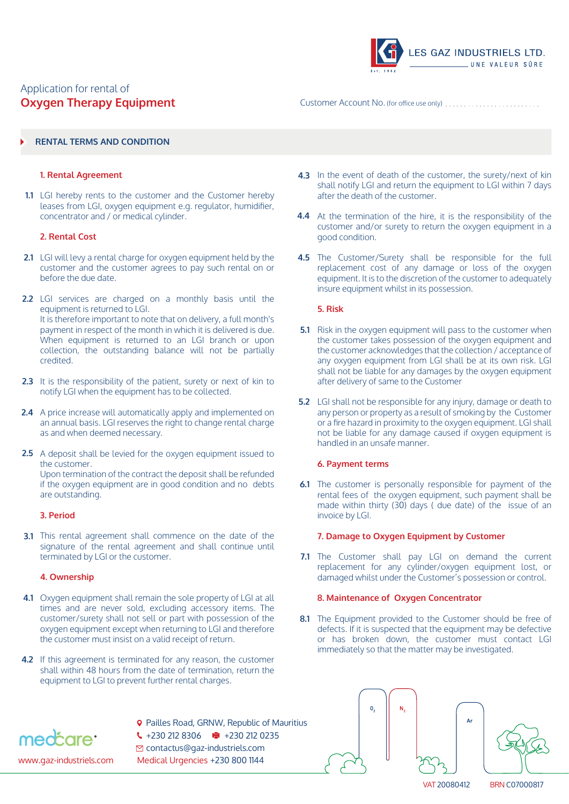# Application for rental of **Oxygen Therapy Equipment**



Customer Account No. (for office use only)

# **RENTAL TERMS AND CONDITION**

### **1. Rental Agreement**

LGI hereby rents to the customer and the Customer hereby **1.1** leases from LGI, oxygen equipment e.g. regulator, humidifier, concentrator and / or medical cylinder.

# **2. Rental Cost**

- LGI will levy a rental charge for oxygen equipment held by the **2.1** customer and the customer agrees to pay such rental on or before the due date.
- **2.2** LGI services are charged on a monthly basis until the equipment is returned to LGI. It is therefore important to note that on delivery, a full month's payment in respect of the month in which it is delivered is due. When equipment is returned to an LGI branch or upon collection, the outstanding balance will not be partially credited.
- **2.3** It is the responsibility of the patient, surety or next of kin to notify LGI when the equipment has to be collected.
- **2.4** A price increase will automatically apply and implemented on an annual basis. LGI reserves the right to change rental charge as and when deemed necessary.
- **2.5** A deposit shall be levied for the oxygen equipment issued to the customer. Upon termination of the contract the deposit shall be refunded if the oxygen equipment are in good condition and no debts are outstanding.

### **3. Period**

**3.1** This rental agreement shall commence on the date of the signature of the rental agreement and shall continue until terminated by LGI or the customer.

### **4. Ownership**

- Oxygen equipment shall remain the sole property of LGI at all **4.1** times and are never sold, excluding accessory items. The customer/surety shall not sell or part with possession of the oxygen equipment except when returning to LGI and therefore the customer must insist on a valid receipt of return.
- **4.2** If this agreement is terminated for any reason, the customer shall within 48 hours from the date of termination, return the equipment to LGI to prevent further rental charges.
- 

**9** Pailles Road, GRNW, Republic of Mauritius  $\binom{1}{2}$  +230 212 0212 0212 0235 contactus@gaz-industriels.com www.gaz-industriels.com Medical Urgencies +230 800 1144

- **4.3** In the event of death of the customer, the surety/next of kin shall notify LGI and return the equipment to LGI within 7 days after the death of the customer.
- **4.4** At the termination of the hire, it is the responsibility of the customer and/or surety to return the oxygen equipment in a good condition.
- **4.5** The Customer/Surety shall be responsible for the full replacement cost of any damage or loss of the oxygen equipment. It is to the discretion of the customer to adequately insure equipment whilst in its possession.

### **5. Risk**

- **5.1** Risk in the oxygen equipment will pass to the customer when the customer takes possession of the oxygen equipment and the customer acknowledges that the collection / acceptance of any oxygen equipment from LGI shall be at its own risk. LGI shall not be liable for any damages by the oxygen equipment after delivery of same to the Customer
- **5.2** LGI shall not be responsible for any injury, damage or death to any person or property as a result of smoking by the Customer or a fire hazard in proximity to the oxygen equipment. LGI shall not be liable for any damage caused if oxygen equipment is handled in an unsafe manner.

# **6. Payment terms**

**6.1** The customer is personally responsible for payment of the rental fees of the oxygen equipment, such payment shall be made within thirty (30) days ( due date) of the issue of an invoice by LGI.

### **7. Damage to Oxygen Equipment by Customer**

**7.1** The Customer shall pay LGI on demand the current replacement for any cylinder/oxygen equipment lost, or damaged whilst under the Customer's possession or control.

### **8. Maintenance of Oxygen Concentrator**

**8.1** The Equipment provided to the Customer should be free of defects. If it is suspected that the equipment may be defective or has broken down, the customer must contact LGI immediately so that the matter may be investigated.





VAT 20080412 BRN C07000817